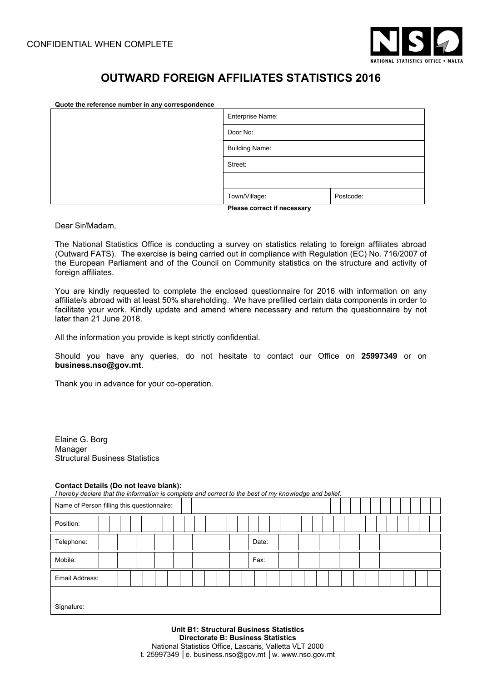

# **OUTWARD FOREIGN AFFILIATES STATISTICS 2016**

| Quote the reference number in any correspondence |                             |           |  |  |  |  |  |  |  |  |
|--------------------------------------------------|-----------------------------|-----------|--|--|--|--|--|--|--|--|
|                                                  | Enterprise Name:            |           |  |  |  |  |  |  |  |  |
|                                                  | Door No:                    |           |  |  |  |  |  |  |  |  |
|                                                  | <b>Building Name:</b>       |           |  |  |  |  |  |  |  |  |
|                                                  | Street:                     |           |  |  |  |  |  |  |  |  |
|                                                  |                             |           |  |  |  |  |  |  |  |  |
|                                                  | Town/Village:               | Postcode: |  |  |  |  |  |  |  |  |
|                                                  | Please correct if necessary |           |  |  |  |  |  |  |  |  |

Dear Sir/Madam,

The National Statistics Office is conducting a survey on statistics relating to foreign affiliates abroad (Outward FATS). The exercise is being carried out in compliance with Regulation (EC) No. 716/2007 of the European Parliament and of the Council on Community statistics on the structure and activity of foreign affiliates.

You are kindly requested to complete the enclosed questionnaire for 2016 with information on any affiliate/s abroad with at least 50% shareholding. We have prefilled certain data components in order to facilitate your work. Kindly update and amend where necessary and return the questionnaire by not later than 21 June 2018.

All the information you provide is kept strictly confidential.

Should you have any queries, do not hesitate to contact our Office on **25997349** or on **business.nso@gov.mt**.

Thank you in advance for your co-operation.

Elaine G. Borg Manager Structural Business Statistics

#### **Contact Details (Do not leave blank):**

*I hereby declare that the information is complete and correct to the best of my knowledge and belief.* 

| Name of Person filling this questionnaire: |  |  |  |  |  |  |  |  |  |  |       |  |  |  |  |  |  |  |  |  |
|--------------------------------------------|--|--|--|--|--|--|--|--|--|--|-------|--|--|--|--|--|--|--|--|--|
| Position:                                  |  |  |  |  |  |  |  |  |  |  |       |  |  |  |  |  |  |  |  |  |
| Telephone:                                 |  |  |  |  |  |  |  |  |  |  | Date: |  |  |  |  |  |  |  |  |  |
| Mobile:                                    |  |  |  |  |  |  |  |  |  |  | Fax:  |  |  |  |  |  |  |  |  |  |
| Email Address:                             |  |  |  |  |  |  |  |  |  |  |       |  |  |  |  |  |  |  |  |  |
| Signature:                                 |  |  |  |  |  |  |  |  |  |  |       |  |  |  |  |  |  |  |  |  |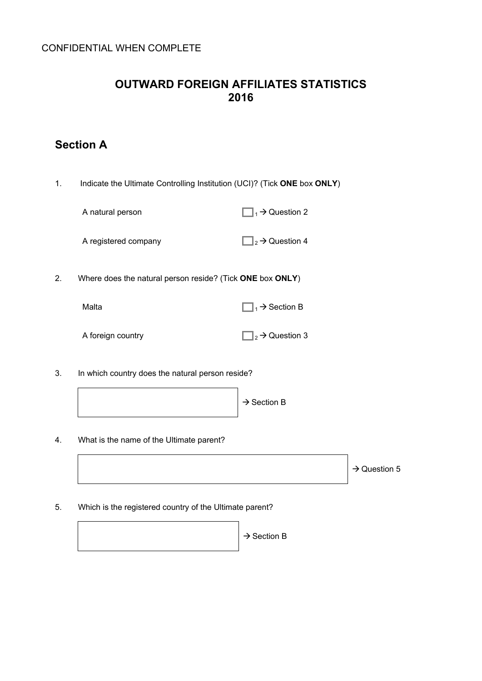#### **OUTWARD FOREIGN AFFILIATES STATISTICS 2016**

## **Section A**

1. Indicate the Ultimate Controlling Institution (UCI)? (Tick **ONE** box **ONLY**)

| A natural person | $\Box_1$ $\rightarrow$ Question 2 |
|------------------|-----------------------------------|
|                  |                                   |

A registered company  $\Box_2 \rightarrow$  Question 4

2. Where does the natural person reside? (Tick **ONE** box **ONLY**)

| Malta             | $\Box_1 \rightarrow$ Section B  |
|-------------------|---------------------------------|
| A foreign country | $\Box_2 \rightarrow$ Question 3 |

3. In which country does the natural person reside?



4. What is the name of the Ultimate parent?

 $\rightarrow$  Question 5

5. Which is the registered country of the Ultimate parent?

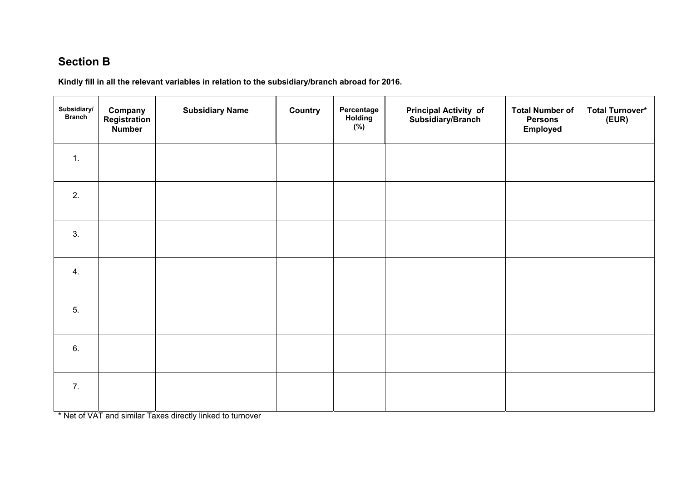### **Section B**

**Kindly fill in all the relevant variables in relation to the subsidiary/branch abroad for 2016.** 

| Subsidiary/<br><b>Branch</b> | Company<br><b>Registration</b><br>Number | <b>Subsidiary Name</b> | Country | Percentage<br>Holding<br>(%) | <b>Principal Activity of</b><br>Subsidiary/Branch | <b>Total Number of</b><br><b>Persons</b><br>Employed | <b>Total Turnover*</b><br>(EUR) |
|------------------------------|------------------------------------------|------------------------|---------|------------------------------|---------------------------------------------------|------------------------------------------------------|---------------------------------|
| 1.                           |                                          |                        |         |                              |                                                   |                                                      |                                 |
| 2.                           |                                          |                        |         |                              |                                                   |                                                      |                                 |
| 3.                           |                                          |                        |         |                              |                                                   |                                                      |                                 |
| 4.                           |                                          |                        |         |                              |                                                   |                                                      |                                 |
| 5.                           |                                          |                        |         |                              |                                                   |                                                      |                                 |
| 6.                           |                                          |                        |         |                              |                                                   |                                                      |                                 |
| 7.                           |                                          |                        |         |                              |                                                   |                                                      |                                 |

\* Net of VAT and similar Taxes directly linked to turnover